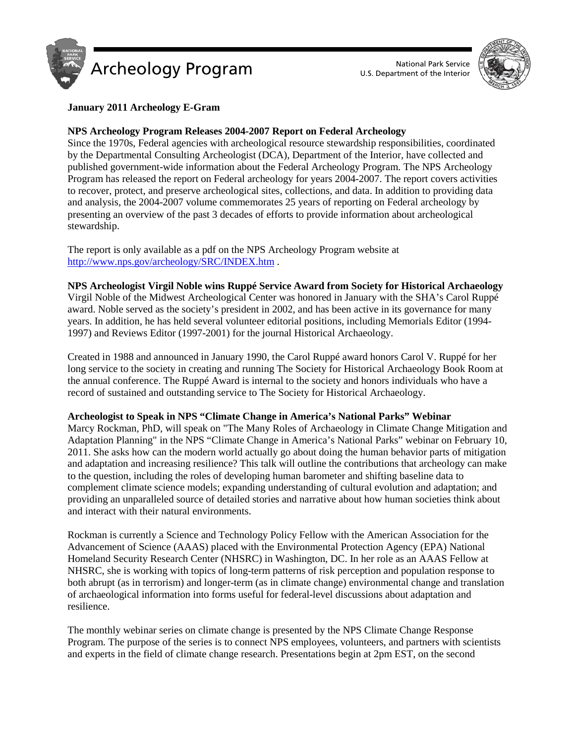



# **January 2011 Archeology E-Gram**

# **NPS Archeology Program Releases 2004-2007 Report on Federal Archeology**

Since the 1970s, Federal agencies with archeological resource stewardship responsibilities, coordinated by the Departmental Consulting Archeologist (DCA), Department of the Interior, have collected and published government-wide information about the Federal Archeology Program. The NPS Archeology Program has released the report on Federal archeology for years 2004-2007. The report covers activities to recover, protect, and preserve archeological sites, collections, and data. In addition to providing data and analysis, the 2004-2007 volume commemorates 25 years of reporting on Federal archeology by presenting an overview of the past 3 decades of efforts to provide information about archeological stewardship.

The report is only available as a pdf on the NPS Archeology Program website at <http://www.nps.gov/archeology/SRC/INDEX.htm> .

# **NPS Archeologist Virgil Noble wins Ruppé Service Award from Society for Historical Archaeology**

Virgil Noble of the Midwest Archeological Center was honored in January with the SHA's Carol Ruppé award. Noble served as the society's president in 2002, and has been active in its governance for many years. In addition, he has held several volunteer editorial positions, including Memorials Editor (1994- 1997) and Reviews Editor (1997-2001) for the journal Historical Archaeology.

Created in 1988 and announced in January 1990, the Carol Ruppé award honors Carol V. Ruppé for her long service to the society in creating and running The Society for Historical Archaeology Book Room at the annual conference. The Ruppé Award is internal to the society and honors individuals who have a record of sustained and outstanding service to The Society for Historical Archaeology.

# **Archeologist to Speak in NPS "Climate Change in America's National Parks" Webinar**

Marcy Rockman, PhD, will speak on "The Many Roles of Archaeology in Climate Change Mitigation and Adaptation Planning" in the NPS "Climate Change in America's National Parks" webinar on February 10, 2011. She asks how can the modern world actually go about doing the human behavior parts of mitigation and adaptation and increasing resilience? This talk will outline the contributions that archeology can make to the question, including the roles of developing human barometer and shifting baseline data to complement climate science models; expanding understanding of cultural evolution and adaptation; and providing an unparalleled source of detailed stories and narrative about how human societies think about and interact with their natural environments.

Rockman is currently a Science and Technology Policy Fellow with the American Association for the Advancement of Science (AAAS) placed with the Environmental Protection Agency (EPA) National Homeland Security Research Center (NHSRC) in Washington, DC. In her role as an AAAS Fellow at NHSRC, she is working with topics of long-term patterns of risk perception and population response to both abrupt (as in terrorism) and longer-term (as in climate change) environmental change and translation of archaeological information into forms useful for federal-level discussions about adaptation and resilience.

The monthly webinar series on climate change is presented by the NPS Climate Change Response Program. The purpose of the series is to connect NPS employees, volunteers, and partners with scientists and experts in the field of climate change research. Presentations begin at 2pm EST, on the second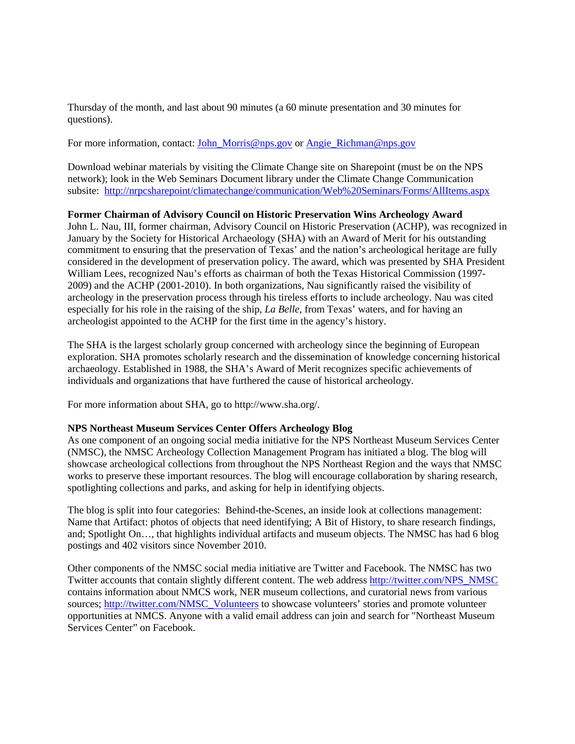Thursday of the month, and last about 90 minutes (a 60 minute presentation and 30 minutes for questions).

For more information, contact: John Morris@nps.gov or Angie Richman@nps.gov

Download webinar materials by visiting the Climate Change site on Sharepoint (must be on the NPS network); look in the Web Seminars Document library under the Climate Change Communication subsite: http://nrpcsharepoint/climatechange/communication/Web%20Seminars/Forms/AllItems.aspx

# **Former Chairman of Advisory Council on Historic Preservation Wins Archeology Award**

John L. Nau, III, former chairman, Advisory Council on Historic Preservation (ACHP), was recognized in January by the Society for Historical Archaeology (SHA) with an Award of Merit for his outstanding commitment to ensuring that the preservation of Texas' and the nation's archeological heritage are fully considered in the development of preservation policy. The award, which was presented by SHA President William Lees, recognized Nau's efforts as chairman of both the Texas Historical Commission (1997- 2009) and the ACHP (2001-2010). In both organizations, Nau significantly raised the visibility of archeology in the preservation process through his tireless efforts to include archeology. Nau was cited especially for his role in the raising of the ship, *La Belle*, from Texas' waters, and for having an archeologist appointed to the ACHP for the first time in the agency's history.

The SHA is the largest scholarly group concerned with archeology since the beginning of European exploration. SHA promotes scholarly research and the dissemination of knowledge concerning historical archaeology. Established in 1988, the SHA's Award of Merit recognizes specific achievements of individuals and organizations that have furthered the cause of historical archeology.

For more information about SHA, go to http://www.sha.org/.

### **NPS Northeast Museum Services Center Offers Archeology Blog**

As one component of an ongoing social media initiative for the NPS Northeast Museum Services Center (NMSC), the NMSC Archeology Collection Management Program has initiated a blog. The blog will showcase archeological collections from throughout the NPS Northeast Region and the ways that NMSC works to preserve these important resources. The blog will encourage collaboration by sharing research, spotlighting collections and parks, and asking for help in identifying objects.

The blog is split into four categories: Behind-the-Scenes, an inside look at collections management: Name that Artifact: photos of objects that need identifying; A Bit of History, to share research findings, and; Spotlight On…, that highlights individual artifacts and museum objects. The NMSC has had 6 blog postings and 402 visitors since November 2010.

Other components of the NMSC social media initiative are Twitter and Facebook. The NMSC has two Twitter accounts that contain slightly different content. The web addres[s http://twitter.com/NPS\\_NMSC](http://www.nps.gov/cgi-bin/intercept?http://twitter.com/NPS_NMSC_)  contains information about NMCS work, NER museum collections, and curatorial news from various sources; [http://twitter.com/NMSC\\_Volunteers](http://www.nps.gov/cgi-bin/intercept?http://twitter.com/NMSC_Volunteers_) to showcase volunteers' stories and promote volunteer opportunities at NMCS. Anyone with a valid email address can join and search for "Northeast Museum Services Center" on Facebook.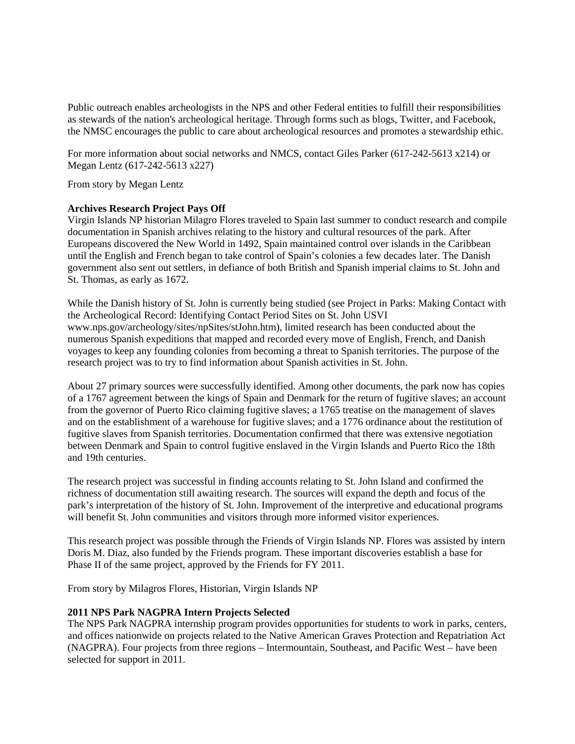Public outreach enables archeologists in the NPS and other Federal entities to fulfill their responsibilities as stewards of the nation's archeological heritage. Through forms such as blogs, Twitter, and Facebook, the NMSC encourages the public to care about archeological resources and promotes a stewardship ethic.

For more information about social networks and NMCS, contact Giles Parker (617-242-5613 x214) or Megan Lentz (617-242-5613 x227)

From story by Megan Lentz

# **Archives Research Project Pays Off**

Virgin Islands NP historian Milagro Flores traveled to Spain last summer to conduct research and compile documentation in Spanish archives relating to the history and cultural resources of the park. After Europeans discovered the New World in 1492, Spain maintained control over islands in the Caribbean until the English and French began to take control of Spain's colonies a few decades later. The Danish government also sent out settlers, in defiance of both British and Spanish imperial claims to St. John and St. Thomas, as early as 1672.

While the Danish history of St. John is currently being studied (see Project in Parks: Making Contact with the Archeological Record: Identifying Contact Period Sites on St. John USVI www.nps.gov/archeology/sites/npSites/stJohn.htm), limited research has been conducted about the numerous Spanish expeditions that mapped and recorded every move of English, French, and Danish voyages to keep any founding colonies from becoming a threat to Spanish territories. The purpose of the research project was to try to find information about Spanish activities in St. John.

About 27 primary sources were successfully identified. Among other documents, the park now has copies of a 1767 agreement between the kings of Spain and Denmark for the return of fugitive slaves; an account from the governor of Puerto Rico claiming fugitive slaves; a 1765 treatise on the management of slaves and on the establishment of a warehouse for fugitive slaves; and a 1776 ordinance about the restitution of fugitive slaves from Spanish territories. Documentation confirmed that there was extensive negotiation between Denmark and Spain to control fugitive enslaved in the Virgin Islands and Puerto Rico the 18th and 19th centuries.

The research project was successful in finding accounts relating to St. John Island and confirmed the richness of documentation still awaiting research. The sources will expand the depth and focus of the park's interpretation of the history of St. John. Improvement of the interpretive and educational programs will benefit St. John communities and visitors through more informed visitor experiences.

This research project was possible through the Friends of Virgin Islands NP. Flores was assisted by intern Doris M. Diaz, also funded by the Friends program. These important discoveries establish a base for Phase II of the same project, approved by the Friends for FY 2011.

From story by Milagros Flores, Historian, Virgin Islands NP

#### **2011 NPS Park NAGPRA Intern Projects Selected**

The NPS Park NAGPRA internship program provides opportunities for students to work in parks, centers, and offices nationwide on projects related to the Native American Graves Protection and Repatriation Act (NAGPRA). Four projects from three regions – Intermountain, Southeast, and Pacific West – have been selected for support in 2011.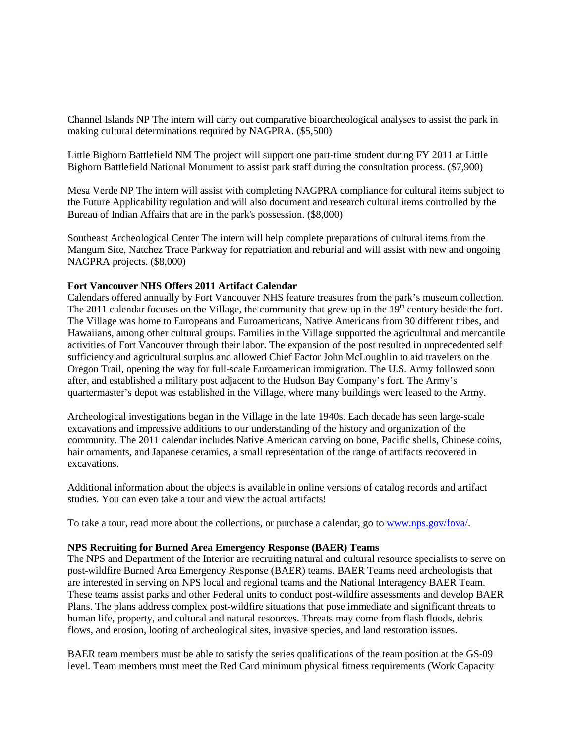Channel Islands NP The intern will carry out comparative bioarcheological analyses to assist the park in making cultural determinations required by NAGPRA. (\$5,500)

Little Bighorn Battlefield NM The project will support one part-time student during FY 2011 at Little Bighorn Battlefield National Monument to assist park staff during the consultation process. (\$7,900)

Mesa Verde NP The intern will assist with completing NAGPRA compliance for cultural items subject to the Future Applicability regulation and will also document and research cultural items controlled by the Bureau of Indian Affairs that are in the park's possession. (\$8,000)

Southeast Archeological Center The intern will help complete preparations of cultural items from the Mangum Site, Natchez Trace Parkway for repatriation and reburial and will assist with new and ongoing NAGPRA projects. (\$8,000)

#### **Fort Vancouver NHS Offers 2011 Artifact Calendar**

Calendars offered annually by Fort Vancouver NHS feature treasures from the park's museum collection. The 2011 calendar focuses on the Village, the community that grew up in the  $19<sup>th</sup>$  century beside the fort. The Village was home to Europeans and Euroamericans, Native Americans from 30 different tribes, and Hawaiians, among other cultural groups. Families in the Village supported the agricultural and mercantile activities of Fort Vancouver through their labor. The expansion of the post resulted in unprecedented self sufficiency and agricultural surplus and allowed Chief Factor John McLoughlin to aid travelers on the Oregon Trail, opening the way for full-scale Euroamerican immigration. The U.S. Army followed soon after, and established a military post adjacent to the Hudson Bay Company's fort. The Army's quartermaster's depot was established in the Village, where many buildings were leased to the Army.

Archeological investigations began in the Village in the late 1940s. Each decade has seen large-scale excavations and impressive additions to our understanding of the history and organization of the community. The 2011 calendar includes Native American carving on bone, Pacific shells, Chinese coins, hair ornaments, and Japanese ceramics, a small representation of the range of artifacts recovered in excavations.

Additional information about the objects is available in online versions of catalog records and artifact studies. You can even take a tour and view the actual artifacts!

To take a tour, read more about the collections, or purchase a calendar, go t[o www.nps.gov/fova/.](http://www.nps.gov/fova/)

### **NPS Recruiting for Burned Area Emergency Response (BAER) Teams**

The NPS and Department of the Interior are recruiting natural and cultural resource specialists to serve on post-wildfire Burned Area Emergency Response (BAER) teams. BAER Teams need archeologists that are interested in serving on NPS local and regional teams and the National Interagency BAER Team. These teams assist parks and other Federal units to conduct post-wildfire assessments and develop BAER Plans. The plans address complex post-wildfire situations that pose immediate and significant threats to human life, property, and cultural and natural resources. Threats may come from flash floods, debris flows, and erosion, looting of archeological sites, invasive species, and land restoration issues.

BAER team members must be able to satisfy the series qualifications of the team position at the GS-09 level. Team members must meet the Red Card minimum physical fitness requirements (Work Capacity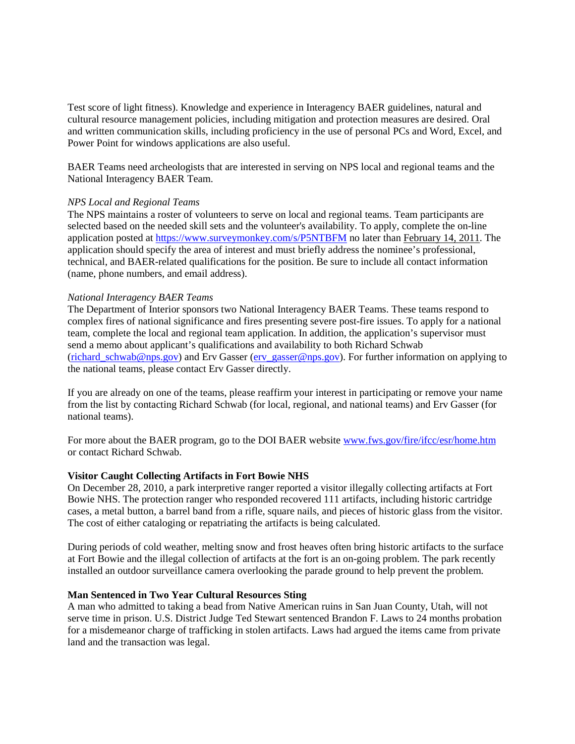Test score of light fitness). Knowledge and experience in Interagency BAER guidelines, natural and cultural resource management policies, including mitigation and protection measures are desired. Oral and written communication skills, including proficiency in the use of personal PCs and Word, Excel, and Power Point for windows applications are also useful.

BAER Teams need archeologists that are interested in serving on NPS local and regional teams and the National Interagency BAER Team.

#### *NPS Local and Regional Teams*

The NPS maintains a roster of volunteers to serve on local and regional teams. Team participants are selected based on the needed skill sets and the volunteer's availability. To apply, complete the on-line application posted at<https://www.surveymonkey.com/s/P5NTBFM> no later than February 14, 2011. The application should specify the area of interest and must briefly address the nominee's professional, technical, and BAER-related qualifications for the position. Be sure to include all contact information (name, phone numbers, and email address).

### *National Interagency BAER Teams*

The Department of Interior sponsors two National Interagency BAER Teams. These teams respond to complex fires of national significance and fires presenting severe post-fire issues. To apply for a national team, complete the local and regional team application. In addition, the application's supervisor must send a memo about applicant's qualifications and availability to both Richard Schwab [\(richard\\_schwab@nps.gov\)](mailto:richard_schwab@nps.gov) and Erv Gasser [\(erv\\_gasser@nps.gov\)](mailto:erv_gasser@nps.gov). For further information on applying to the national teams, please contact Erv Gasser directly.

If you are already on one of the teams, please reaffirm your interest in participating or remove your name from the list by contacting Richard Schwab (for local, regional, and national teams) and Erv Gasser (for national teams).

For more about the BAER program, go to the DOI BAER website [www.fws.gov/fire/ifcc/esr/home.htm](http://www.fws.gov/fire/ifcc/esr/home.htm) or contact Richard Schwab.

# **Visitor Caught Collecting Artifacts in Fort Bowie NHS**

On December 28, 2010, a park interpretive ranger reported a visitor illegally collecting artifacts at Fort Bowie NHS. The protection ranger who responded recovered 111 artifacts, including historic cartridge cases, a metal button, a barrel band from a rifle, square nails, and pieces of historic glass from the visitor. The cost of either cataloging or repatriating the artifacts is being calculated.

During periods of cold weather, melting snow and frost heaves often bring historic artifacts to the surface at Fort Bowie and the illegal collection of artifacts at the fort is an on-going problem. The park recently installed an outdoor surveillance camera overlooking the parade ground to help prevent the problem.

#### **Man Sentenced in Two Year Cultural Resources Sting**

A man who admitted to taking a bead from Native American ruins in San Juan County, Utah, will not serve time in prison. U.S. District Judge Ted Stewart sentenced Brandon F. Laws to 24 months probation for a misdemeanor charge of trafficking in stolen artifacts. Laws had argued the items came from private land and the transaction was legal.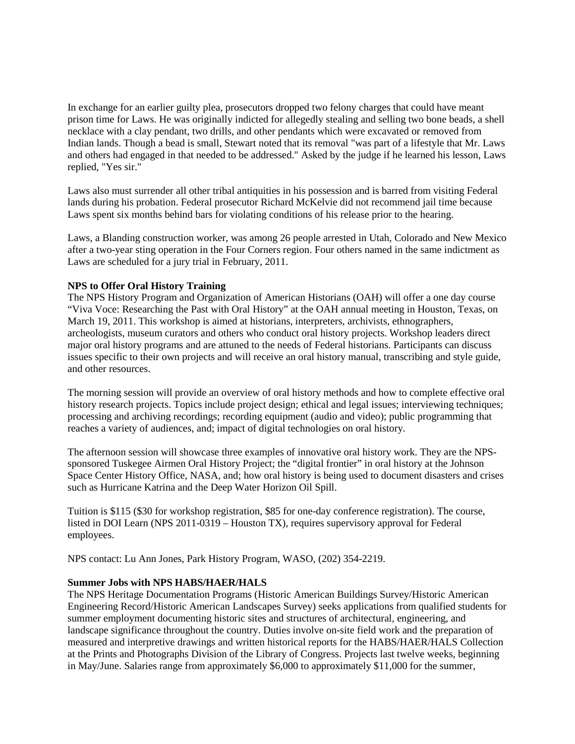In exchange for an earlier guilty plea, prosecutors dropped two felony charges that could have meant prison time for Laws. He was originally indicted for allegedly stealing and selling two bone beads, a shell necklace with a clay pendant, two drills, and other pendants which were excavated or removed from Indian lands. Though a bead is small, Stewart noted that its removal "was part of a lifestyle that Mr. Laws and others had engaged in that needed to be addressed." Asked by the judge if he learned his lesson, Laws replied, "Yes sir."

Laws also must surrender all other tribal antiquities in his possession and is barred from visiting Federal lands during his probation. Federal prosecutor Richard McKelvie did not recommend jail time because Laws spent six months behind bars for violating conditions of his release prior to the hearing.

Laws, a Blanding construction worker, was among 26 people arrested in Utah, Colorado and New Mexico after a two-year sting operation in the Four Corners region. Four others named in the same indictment as Laws are scheduled for a jury trial in February, 2011.

# **NPS to Offer Oral History Training**

The NPS History Program and Organization of American Historians (OAH) will offer a one day course "Viva Voce: Researching the Past with Oral History" at the OAH annual meeting in Houston, Texas, on March 19, 2011. This workshop is aimed at historians, interpreters, archivists, ethnographers, archeologists, museum curators and others who conduct oral history projects. Workshop leaders direct major oral history programs and are attuned to the needs of Federal historians. Participants can discuss issues specific to their own projects and will receive an oral history manual, transcribing and style guide, and other resources.

The morning session will provide an overview of oral history methods and how to complete effective oral history research projects. Topics include project design; ethical and legal issues; interviewing techniques; processing and archiving recordings; recording equipment (audio and video); public programming that reaches a variety of audiences, and; impact of digital technologies on oral history.

The afternoon session will showcase three examples of innovative oral history work. They are the NPSsponsored Tuskegee Airmen Oral History Project; the "digital frontier" in oral history at the Johnson Space Center History Office, NASA, and; how oral history is being used to document disasters and crises such as Hurricane Katrina and the Deep Water Horizon Oil Spill.

Tuition is \$115 (\$30 for workshop registration, \$85 for one-day conference registration). The course, listed in DOI Learn (NPS 2011-0319 – Houston TX), requires supervisory approval for Federal employees.

NPS contact: Lu Ann Jones, Park History Program, WASO, (202) 354-2219.

### **Summer Jobs with NPS HABS/HAER/HALS**

The NPS Heritage Documentation Programs (Historic American Buildings Survey/Historic American Engineering Record/Historic American Landscapes Survey) seeks applications from qualified students for summer employment documenting historic sites and structures of architectural, engineering, and landscape significance throughout the country. Duties involve on-site field work and the preparation of measured and interpretive drawings and written historical reports for the HABS/HAER/HALS Collection at the Prints and Photographs Division of the Library of Congress. Projects last twelve weeks, beginning in May/June. Salaries range from approximately \$6,000 to approximately \$11,000 for the summer,